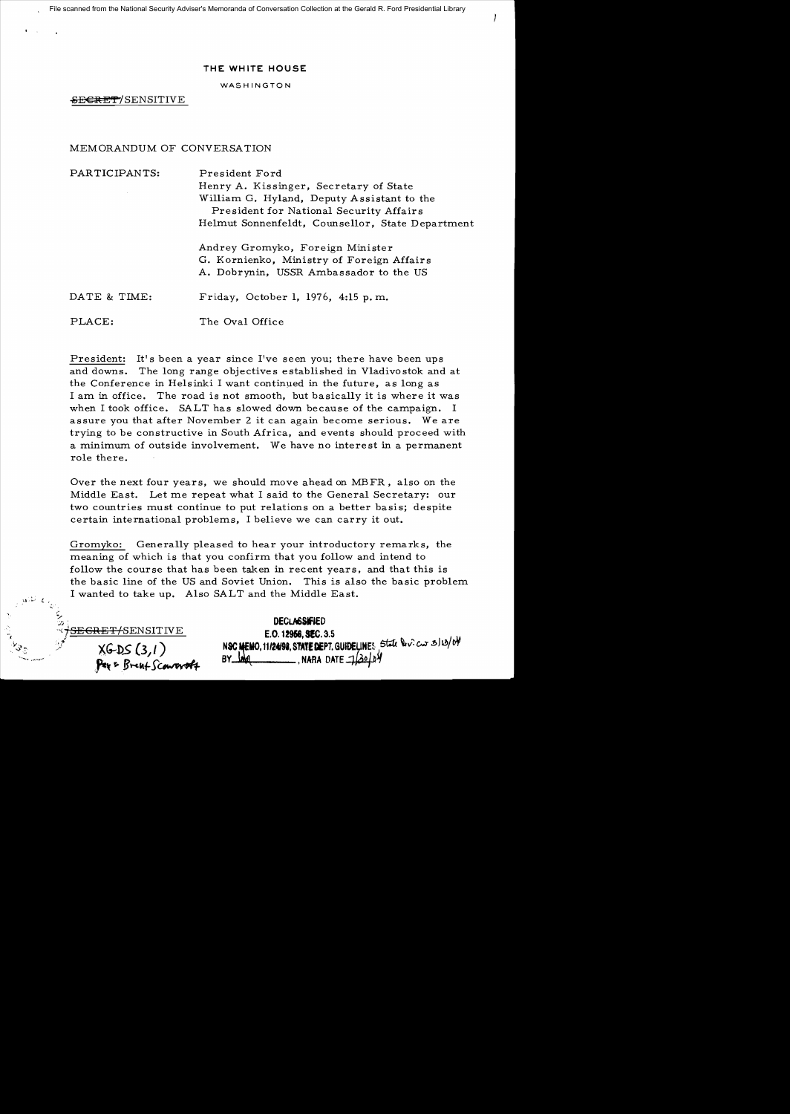File scanned from the National Security Adviser's Memoranda of Conversation Collection at the Gerald R. Ford Presidential Library

## THE WHITE HOUSE

## WASHINGTON

SECRET/SENSITIVE

## MEMORANDUM OF CONVERSATION

| PARTICIPANTS: | President Ford                                                                        |
|---------------|---------------------------------------------------------------------------------------|
|               | Henry A. Kissinger, Secretary of State                                                |
|               | William G. Hyland, Deputy Assistant to the<br>President for National Security Affairs |
|               | Helmut Sonnenfeldt, Counsellor, State Department                                      |
|               | Andrey Gromyko, Foreign Minister                                                      |
|               | G. Kornienko, Ministry of Foreign Affairs                                             |
|               | A. Dobrynin, USSR Ambassador to the US                                                |
| DATE & TIME:  | Friday, October 1, 1976, 4:15 p.m.                                                    |
| PLACE:        | The Oval Office                                                                       |

President: It's been a year since I've seen you; there have been ups and downs. The long range objectives established in Vladivostok and at the Conference in Helsinki I want continued in the future, as long as I am in office. The road is not smooth, but basically it is where it was when I took office. SALT has slowed down because of the campaign. I assure you that after November 2 it can again become serious. We are trying to be constructive in South Africa, and events should proceed with a minimum of outside involvement. We have no interest in a permanent role there.

Over the next four years, we should move ahead on MBFR, also on the Middle East. Let me repeat what I said to the General Secretary: our two countries must continue to put relations on a better basis; despite certain international problems, I believe we can carry it out.

Gromyko: Generally pleased to hear your introductory remarks, the meaning of which is that you confirm that you follow and intend to follow the course that has been taken in recent years, and that this is the basic line of the US and Soviet Union. This is also the basic problem I wanted to take up. Also SALT and the Middle East.

*'*SENSITIVE XGDS (3,1)<br>**Pax** & Bre**nt** Sc**onroroft** 

**DECLASSIFIED** E.O. 12956, SEC. 3.5 NSC MEMO, 11/24/98, STATE DEPT. GUIDELINES State Devices 3/13/04  $\frac{1}{2}$ , NARA DATE  $\frac{1}{2}$ 20/04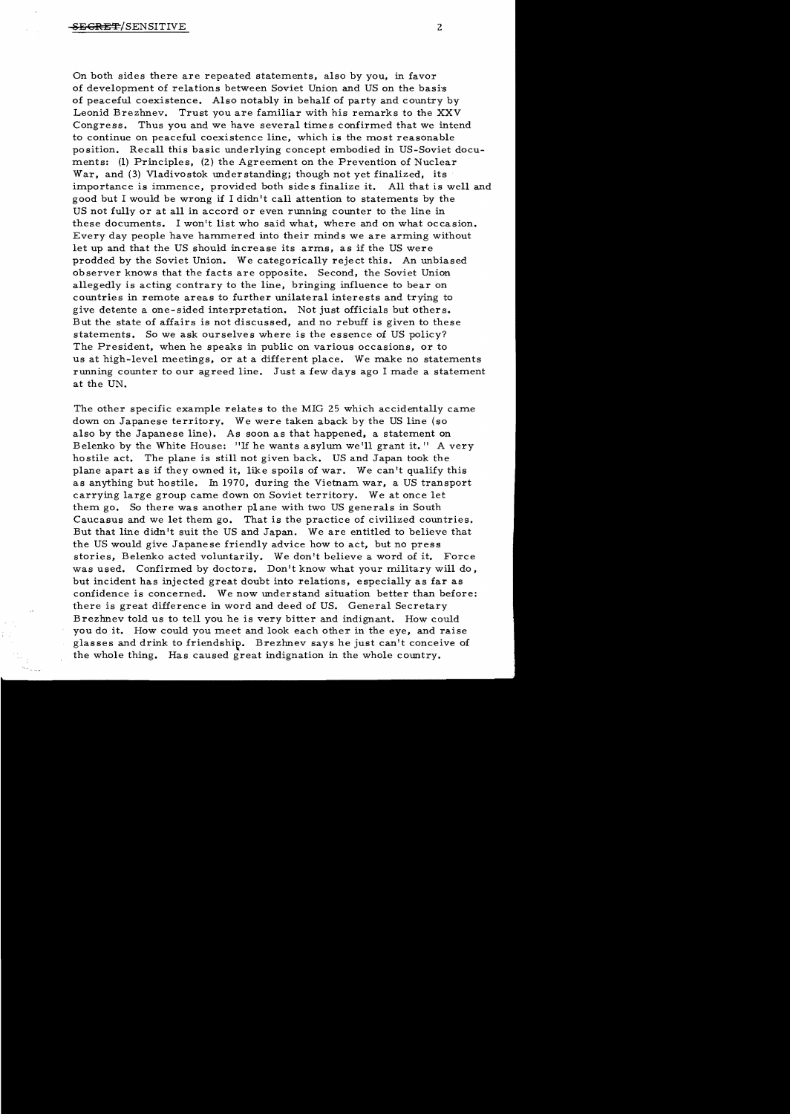On both sides there are repeated statements, also by you, in favor of development of relations between Soviet Union and US on the basi's of peaceful coexistence. Also notably in behalf of party and country by Leonid Brezhnev. Trust you are familiar with his remarks to the XXV Congress. Thus you and we have several times confirmed that we intend to continue on peaceful coexistence line, which is the most reasonable position. Recall this basic underlying concept embodied in US-Soviet documents: (1) Principles, (2) the Agreement on the Prevention of Nuclear War, and (3) Vladivostok under standing; though not yet finalized, its importance is immence, provided both sides finalize it. All that is well and good but I would be wrong if I didn't call attention to statements by the US not fully or at all in accord or even running counter to the line in these documents. I won't list who said what, where and on what occasion. Every day people have hammered into their minds we are arming without let up and that the US should increase its arms, as if the US were prodded by the Soviet Union. We categorically reject this. An unbiased observer knows that the facts are opposite. Second, the Soviet Union allegedly is acting contrary to the line, bringing influence to bear on countries in remote areas to further unilateral interests and trying to give detente a one-sided interpretation. Not just officials but others. But the state of affairs is not discussed, and no rebuff is given to these statements. So we ask ourselves where is the essence of US policy? The President, when he speaks in public on various occasions, or to us at high-level meetings. or at a different place. We make no statements running counter to our agreed line. Just a few days ago I made a statement at the UN.

The other specific example relates to the MIG 25 which accidentally came down on Japanese territory. We were taken aback by the US line (so also by the Japanese line). As soon as that happened, a statement on Belenko by the White House: "If he wants asylum we'll grant it." A very hostile act. The plane is still not given back. US and Japan took the plane apart as if they owned it. like spoils of war. We can't qualify this as anything but hostile. In 1970. during the Vietnam war, a US transport carrying large group carne down on Soviet territory. We at once let them go. So there was another pI ane with two US generals in South Caucasus and we let them go. That is the practice of civilized countries. But that line didn't suit the US and Japan. We are entitled to believe that the US would give Japanese friendly advice how to act, but no press stories, Belenko acted voluntarily. We don't believe a word of it. Force was used. Confirmed by doctors. Don't know what your military will do, but incident has injected great doubt into relations, especially as far as confidence is concerned. We now understand situation better than before: there is great difference in word and deed of US. General Secretary Brezhnev told us to tell you he is very bitter and indignant. How could you do it. How could you meet and look each other in the eye, and raise glasses and drink to friendship. Brezhnev says he just can't conceive of the whole thing. Has caused great indignation in the whole country.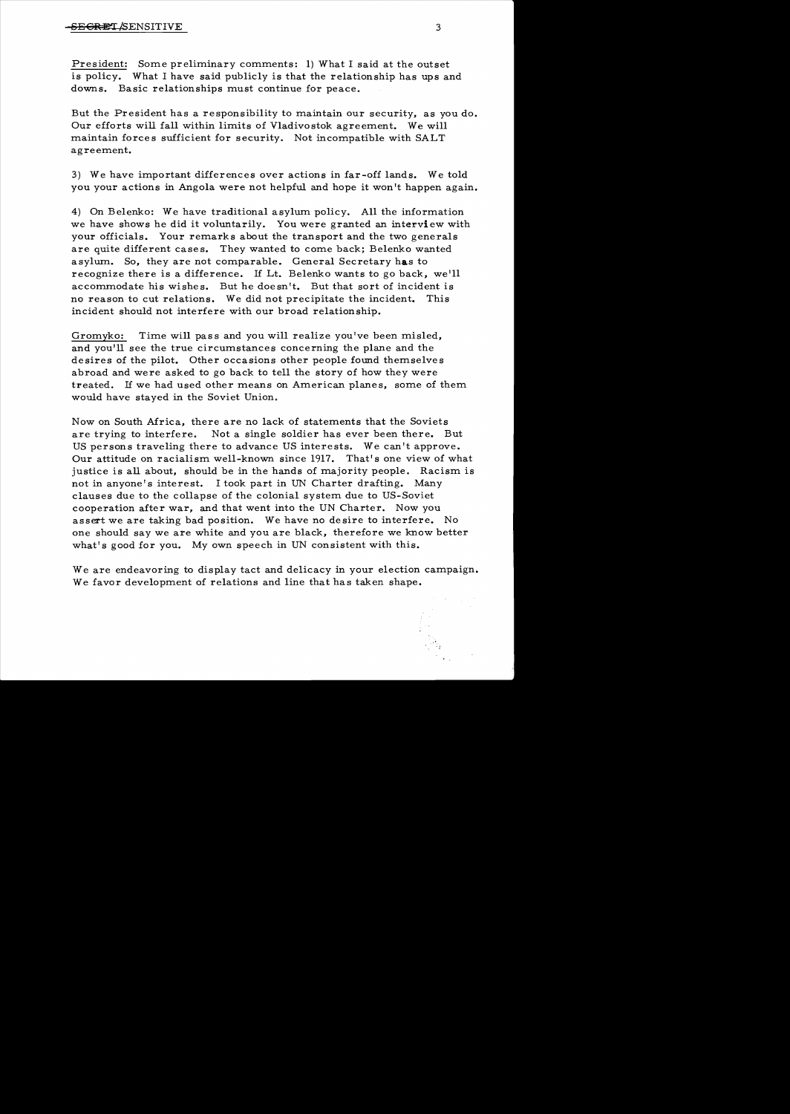President: Some preliminary comments: 1) What I said at the outset is policy. What I have said publicly is that the relationship has ups and downs. Basic relationships must continue for peace.

But the President has a responsibility to maintain our security, as you do. Our efforts will fall within limits of Vladivostok agreement. We will maintain forces sufficient for security. Not incompatible with SALT agreement.

3) We have important differences over actions in far-off lands. We told you your actions in Angola were not helpful and hope it won't happen again.

4) On Belenko: We have traditional asylum policy. All the information we have shows he did it voluntarily. You were granted an interview with your officials. Your remarks about the transport and the two generals are quite different cases. They wanted to come back; Belenko wanted asylum. So, they are not comparable. General Secretary has to recognize there is a difference. If Lt. Belenko wants to go back, we'll accommodate his wishes. But he doesn't. But that sort of incident is no reason to cut relations. We did not precipitate the incident. This incident should not interfere with our broad relationship.

Gromyko: Time will pass and you will realize you've been misled. and you'll see the true circumstances concerning the plane and the desires of the pilot. Other occasions other people found themselves abroad and were asked to go back to tell the story of how they were treated. If we had used other means on American planes, some of them would have stayed in the Soviet Union.

Now on South Africa, there are no lack of statements that the Soviets are trying to interfere. Not a single soldier has ever been there. But US persons traveling there to advance US interests. We can't approve. Our attitude on racialism. well-known since 1917. That's one view of what justice is all about, should be in the hands of majority people. Racism is not in anyone's interest. I took part in UN Charter drafting. Many clauses due to the collapse of the colonial system due to US-Soviet cooperation after war, and that went into the UN Charter. Now you assert we are taking bad position. We have no desire to interfere. No one should say we are white and you are black, therefore we know better what's good for you. My own speech in UN consistent with this.

We are endeavoring to display tact and delicacy in your election campaign. We favor development of relations and line that has taken shape.

-I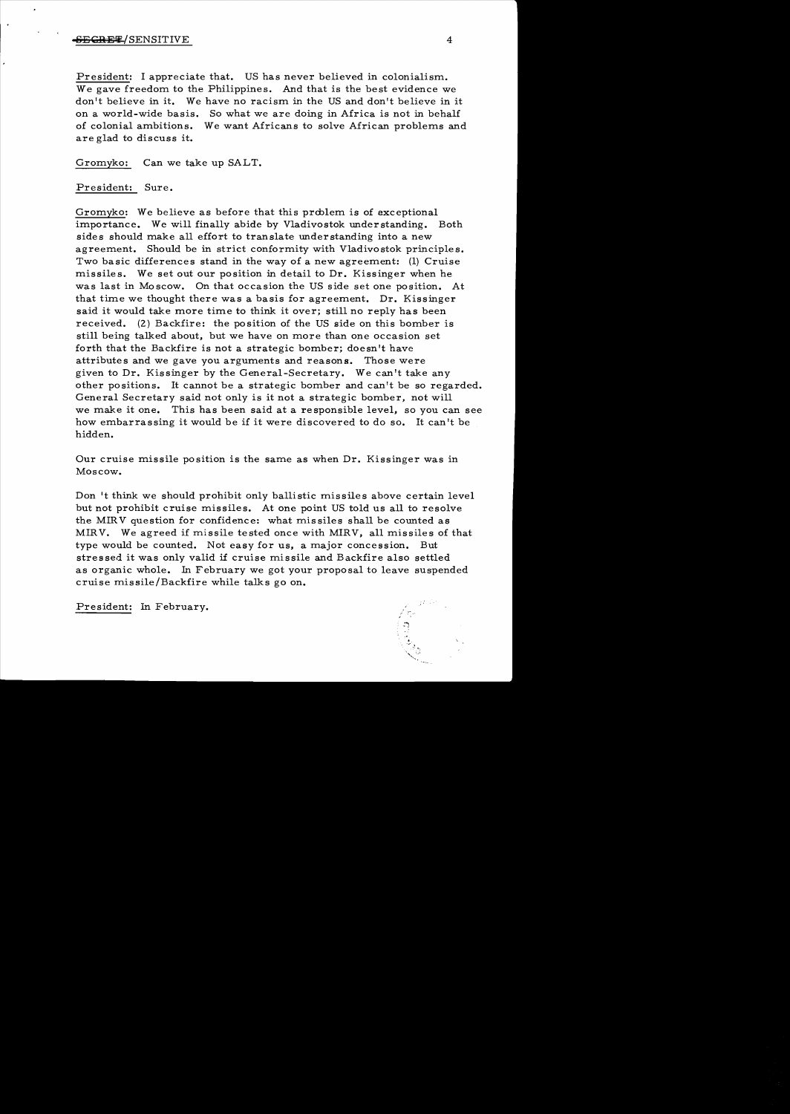## <del>SECRET</del>/SENSITIVE 4

President: I appreciate that. US has never believed in colonialism.. We gave freedom to the Philippines. And that is the best evidence we don't believe in it. We have no racism in the US and don't believe in it on a world-wide basis. So what we are doing in Africa is not in behalf of colonial ambitions. We want Africans to solve African problems and are glad to discuss it.

Gromyko: Can we take up SALT.

President: Sure.

Gromyko: We believe as before that this problem is of exceptional importance. We will finally abide by Vladivostok understanding. Both sides should make all effort to translate understanding into a new agreement. Should be in strict conformity with Vladivostok principles. Two basic differences stand in the way of a new agreement:  $(1)$  Cruise missiles. We set out our position in detail to Dr. Kissinger when he was last in Moscow. On that occasion the US side set one position. At that time we thought there was a basis for agreement. Dr. Kissinger said it would take more time to think it over; still no reply has been received. (2) Backfire: the position of the US side on this bomber is still being talked about, but we have on more than one occasion set forth that the Backfire is not a strategic bomber; doesn't have attributes and we gave you arguments and reasons. Those were given to Dr. Kissinger by the General-Secretary. We can't take any other positions. It cannot be a strategic bomber and can't be so regarded. General Secretary said not only is it not a strategic bomber, not will we make it one. This has been said at a responsible level, so you can see how embarrassing it would be if it were discovered to do so. It can't be hidden.

Our cruise missile position is the same as when Dr. Kissinger was in Moscow.

Don't think we should prohibit only ballistic missiles above certain level but not prohibit cruise missiles. At one point US told us all to resolve the MIRV question for confidence: what missiles shall be counted as MIRV. We agreed if missile tested once with MIRV, all missiles of that type would be counted. Not easy for us, a major concession. But stressed it was only valid if cruise missile and Backfire also settled as organic whole. In February we got your proposal to leave suspended cruise missile/Backfire while talks go on.

President: In February.

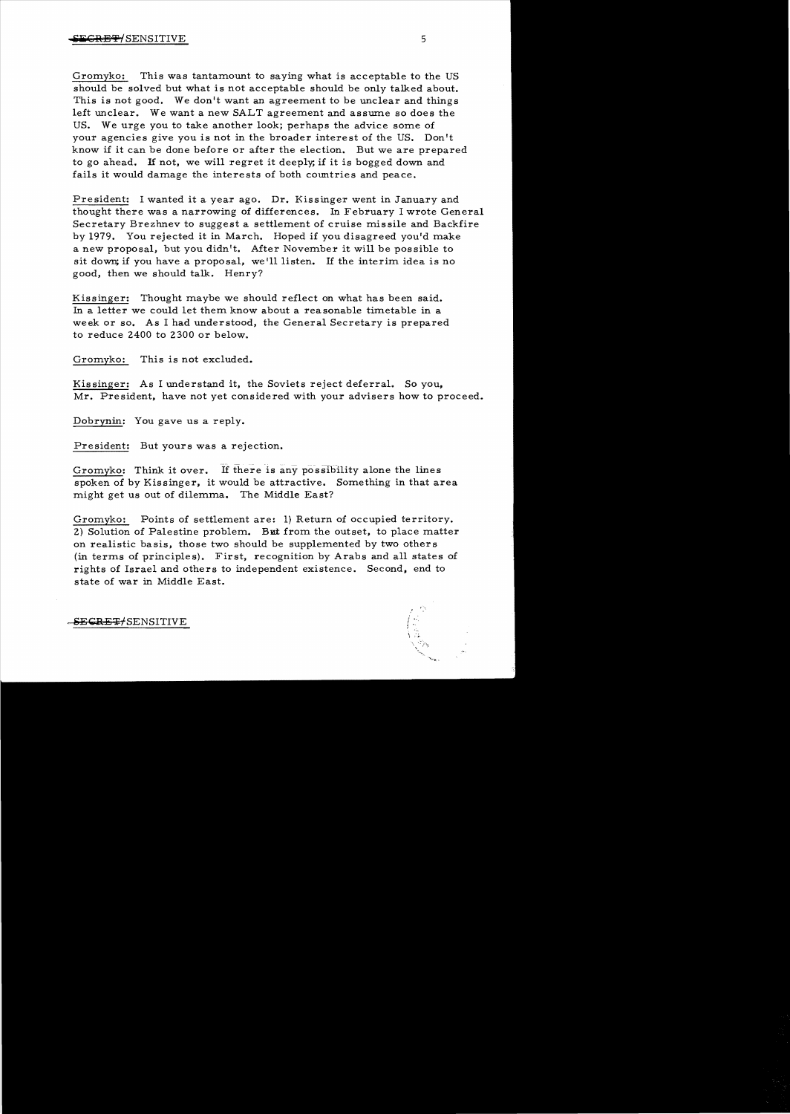Gromyko: This was tantamount to saying what is acceptable to the US should be solved but what is not acceptable should be only talked about. This is not good. We don't want an agreement to be unclear and things left unclear. We want a new SALT agreement and assume so does the US. We urge you to take another look; perhaps the advice some of your agencies give you is not in the broader interest of the US. Don't know if it can be done before or after the election. But we are prepared to go ahead. If not, we will regret it deeply; if it is bogged down and fails it would damage the interests of both countries and peace.

President: I wanted it a year ago. Dr. Kissinger went in January and thought there was a narrowing of differences. In February I wrote General Secretary Brezhnev to suggest a settlement of cruise mis sile and Backfire by 1979. You rejected it in March. Hoped if you disagreed you'd make a new proposal, but you didn't. Mter November it will be possible to sit down; if you have a proposal, we'll listen. If the interim idea is no good, then we should talk. Henry?

Kissinger: Thought maybe we should reflect on what has been said. In a letter we could let them know about a reasonable timetable in a week or so. As I had understood, the General Secretary is prepared to reduce 2400 to 2300 or below.

Gromyko: This is not excluded.

Kis singer: As I understand it, the Soviets reject deferral. So you, Mr. President, have not yet considered with your advisers how to proceed.

Dobrynin: You gave us a reply.

President: But yours was a rejection.

Gromyko: Think it over. If there is any possibility alone the lines spoken of by Kissinger, it would be attractive. Something in that area might get us out of dilemma. The Middle East?

Gromyko: Points of settlement are: 1) Return of occupied territory. 2) Solution of Palestine problem. But from the outset, to place matter on realistic basis. those two should be supplemented by two others (in terms of principles). First, recognition by Arabs and all states of rights of Israel and others to independent existence. Second, end to state of war in Middle East.

SECRET/SENSITIVE

r"-•